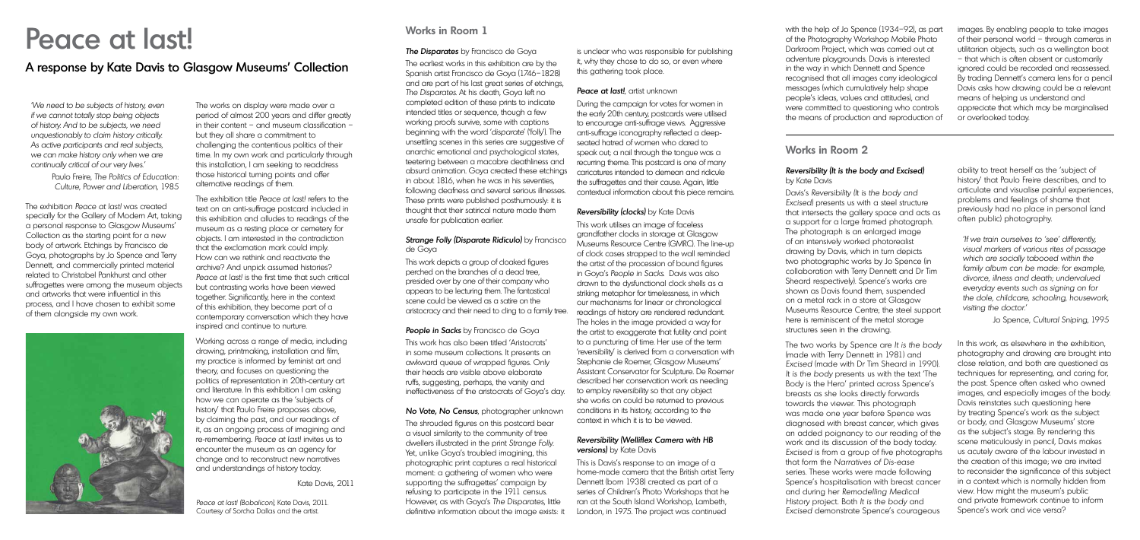#### **Works in Room 1**

#### The Disparates by Francisco de Goya

The earliest works in this exhibition are by the Spanish artist Francisco de Goya (1746–1828) and are part of his last great series of etchings, The Disparates. At his death, Goya left no completed edition of these prints to indicate intended titles or sequence, though a few working proofs survive, some with captions beginning with the word 'disparate' ('folly'). The unsettling scenes in this series are suggestive of anarchic emotional and psychological states, teetering between a macabre deathliness and absurd animation. Goya created these etchings in about 1816, when he was in his seventies, following deafness and several serious illnesses. These prints were published posthumously: it is thought that their satirical nature made them unsafe for publication earlier.

#### Strange Folly (Disparate Ridiculo) by Francisco de Goya

People in Sacks by Francisco de Goya This work has also been titled 'Aristocrats' in some museum collections. It presents an awkward queue of wrapped figures. Only their heads are visible above elaborate ruffs, suggesting, perhaps, the vanity and ineffectiveness of the aristocrats of Goya's day.

No Vote, No Census, photographer unknown The shrouded figures on this postcard bear a visual similarity to the community of tree dwellers illustrated in the print Strange Folly. Yet, unlike Goya's troubled imagining, this photographic print captures a real historical moment: a gathering of women who were supporting the suffragettes' campaign by refusing to participate in the 1911 census. However, as with Goya's The Disparates, little definitive information about the image exists: it

This work depicts a group of cloaked figures perched on the branches of a dead tree, presided over by one of their company who appears to be lecturing them. The fantastical scene could be viewed as a satire on the aristocracy and their need to cling to a family tree.

#### Reversibility (Welliflex Camera with HB **versions)** by Kate Davis

is unclear who was responsible for publishing it, why they chose to do so, or even where this gathering took place.

#### Peace at last!, artist unknown

During the campaign for votes for women in the early 20th century, postcards were utilised to encourage anti-suffrage views. Aggressive anti-suffrage iconography reflected a deepseated hatred of women who dared to speak out; a nail through the tongue was a recurring theme. This postcard is one of many caricatures intended to demean and ridicule the suffragettes and their cause. Again, little contextual information about this piece remains.

#### **Reversibility (clocks)** by Kate Davis

This work utilises an image of faceless grandfather clocks in storage at Glasgow Museums Resource Centre (GMRC). The line-up of clock cases strapped to the wall reminded the artist of the procession of bound figures in Goya's People in Sacks. Davis was also drawn to the dysfunctional clock shells as a striking metaphor for timelessness, in which our mechanisms for linear or chronological readings of history are rendered redundant. The holes in the image provided a way for the artist to exaggerate that futility and point to a puncturing of time. Her use of the term 'reversibility' is derived from a conversation with Stephanie de Roemer, Glasgow Museums' Assistant Conservator for Sculpture. De Roemer described her conservation work as needing to employ reversibility so that any object she works on could be returned to previous conditions in its history, according to the context in which it is to be viewed.

The exhibition title Peace at last! refers to the text on an anti-suffrage postcard included in this exhibition and alludes to readings of the museum as a resting place or cemetery for objects. I am interested in the contradiction that the exclamation mark could imply. How can we rethink and reactivate the archive? And unpick assumed histories? Peace at last! is the first time that such critical but contrasting works have been viewed together. Significantly, here in the context of this exhibition, they become part of a contemporary conversation which they have inspired and continue to nurture.

> This is Davis's response to an image of a home-made camera that the British artist Terry Dennett (born 1938) created as part of a series of Children's Photo Workshops that he ran at the South Island Workshop, Lambeth, London, in 1975. The project was continued

with the help of Jo Spence (1934–92), as part of the Photography Workshop Mobile Photo Darkroom Project, which was carried out at adventure playgrounds. Davis is interested in the way in which Dennett and Spence recognised that all images carry ideological messages (which cumulatively help shape people's ideas, values and attitudes), and were committed to questioning who controls the means of production and reproduction of

## Peace at last!

### A response by Kate Davis to Glasgow Museums' Collection

'We need to be subjects of history, even if we cannot totally stop being objects of history. And to be subjects, we need unquestionably to claim history critically. As active participants and real subjects, we can make history only when we are continually critical of our very lives.'

> Paulo Freire, The Politics of Education: Culture, Power and Liberation, 1985

The exhibition Peace at last! was created specially for the Gallery of Modern Art, taking a personal response to Glasgow Museums' Collection as the starting point for a new body of artwork. Etchings by Francisco de Goya, photographs by Jo Spence and Terry Dennett, and commercially printed material related to Christabel Pankhurst and other suffragettes were among the museum objects and artworks that were influential in this process, and I have chosen to exhibit some of them alongside my own work.



The works on display were made over a period of almost 200 years and differ greatly in their content – and museum classification – but they all share a commitment to challenging the contentious politics of their time. In my own work and particularly through this installation, I am seeking to readdress those historical turning points and offer alternative readings of them.

Working across a range of media, including drawing, printmaking, installation and film, my practice is informed by feminist art and theory, and focuses on questioning the politics of representation in 20th-century art and literature. In this exhibition I am asking how we can operate as the 'subjects of history' that Paulo Freire proposes above, by claiming the past, and our readings of it, as an ongoing process of imagining and re-remembering. Peace at last! invites us to encounter the museum as an agency for change and to reconstruct new narratives and understandings of history today.

Kate Davis, 2011

Peace at last! (Bobalicon), Kate Davis, 2011. Courtesy of Sorcha Dallas and the artist.

#### **Works in Room 2**

#### Reversibility (It is the body and Excised) by Kate Davis

Davis's Reversibility (It is the body and Excised) presents us with a steel structure that intersects the gallery space and acts as a support for a large framed photograph. The photograph is an enlarged image of an intensively worked photorealist drawing by Davis, which in turn depicts two photographic works by Jo Spence (in collaboration with Terry Dennett and Dr Tim Sheard respectively). Spence's works are shown as Davis found them, suspended on a metal rack in a store at Glasgow Museums Resource Centre; the steel support here is reminiscent of the metal storage structures seen in the drawing.

The two works by Spence are It is the body (made with Terry Dennett in 1981) and Excised (made with Dr Tim Sheard in 1990). It is the body presents us with the text 'The Body is the Hero' printed across Spence's breasts as she looks directly forwards towards the viewer. This photograph was made one year before Spence was diagnosed with breast cancer, which gives an added poignancy to our reading of the work and its discussion of the body today. Excised is from a group of five photographs that form the Narratives of Dis-ease series. These works were made following Spence's hospitalisation with breast cancer and during her Remodelling Medical History project. Both It is the body and Excised demonstrate Spence's courageous

ability to treat herself as the 'subject of history' that Paulo Freire describes, and to articulate and visualise painful experiences, problems and feelings of shame that previously had no place in personal (and often public) photography.

'If we train ourselves to 'see' differently, visual markers of various rites of passage which are socially tabooed within the family album can be made: for example, divorce, illness and death; undervalued everyday events such as signing on for the dole, childcare, schooling, housework, visiting the doctor.'

Jo Spence, Cultural Sniping, 1995

In this work, as elsewhere in the exhibition, photography and drawing are brought into close relation, and both are questioned as techniques for representing, and caring for, the past. Spence often asked who owned images, and especially images of the body. Davis reinstates such questioning here by treating Spence's work as the subject or body, and Glasgow Museums' store as the subject's stage. By rendering this scene meticulously in pencil, Davis makes us acutely aware of the labour invested in the creation of this image; we are invited to reconsider the significance of this subject in a context which is normally hidden from view. How might the museum's public and private framework continue to inform Spence's work and vice versa?

images. By enabling people to take images of their personal world – through cameras in utilitarian objects, such as a wellington boot – that which is often absent or customarily ignored could be recorded and reassessed. By trading Dennett's camera lens for a pencil Davis asks how drawing could be a relevant means of helping us understand and appreciate that which may be marginalised or overlooked today.